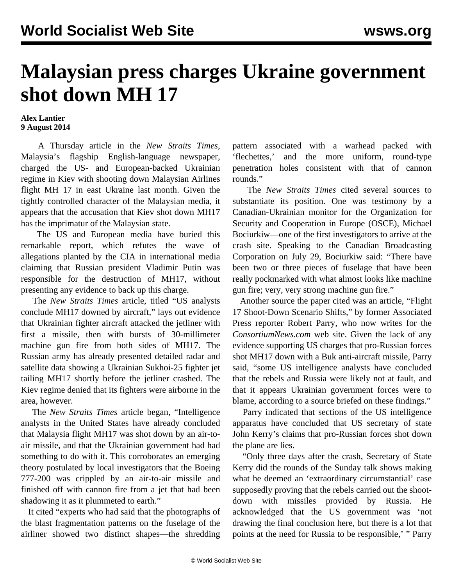## **Malaysian press charges Ukraine government shot down MH 17**

## **Alex Lantier 9 August 2014**

 A Thursday article in the *New Straits Times*, Malaysia's flagship English-language newspaper, charged the US- and European-backed Ukrainian regime in Kiev with shooting down Malaysian Airlines flight MH 17 in east Ukraine last month. Given the tightly controlled character of the Malaysian media, it appears that the accusation that Kiev shot down MH17 has the imprimatur of the Malaysian state.

 The US and European media have buried this remarkable report, which refutes the wave of allegations planted by the CIA in international media claiming that Russian president Vladimir Putin was responsible for the destruction of MH17, without presenting any evidence to back up this charge.

 The *New Straits Times* article, titled "US analysts conclude MH17 downed by aircraft," lays out evidence that Ukrainian fighter aircraft attacked the jetliner with first a missile, then with bursts of 30-millimeter machine gun fire from both sides of MH17. The Russian army has already [presented](/en/articles/2014/07/22/russ-j22.html) detailed radar and satellite data showing a Ukrainian Sukhoi-25 fighter jet tailing MH17 shortly before the jetliner crashed. The Kiev regime denied that its fighters were airborne in the area, however.

 The *New Straits Times* article began, "Intelligence analysts in the United States have already concluded that Malaysia flight MH17 was shot down by an air-toair missile, and that the Ukrainian government had had something to do with it. This corroborates an emerging theory postulated by local investigators that the Boeing 777-200 was crippled by an air-to-air missile and finished off with cannon fire from a jet that had been shadowing it as it plummeted to earth."

 It cited "experts who had said that the photographs of the blast fragmentation patterns on the fuselage of the airliner showed two distinct shapes—the shredding pattern associated with a warhead packed with 'flechettes,' and the more uniform, round-type penetration holes consistent with that of cannon rounds."

 The *New Straits Times* cited several sources to substantiate its position. One was testimony by a Canadian-Ukrainian monitor for the Organization for Security and Cooperation in Europe (OSCE), Michael Bociurkiw—one of the first investigators to arrive at the crash site. Speaking to the Canadian Broadcasting Corporation on July 29, Bociurkiw said: "There have been two or three pieces of fuselage that have been really pockmarked with what almost looks like machine gun fire; very, very strong machine gun fire."

 Another source the paper cited was an article, "Flight 17 Shoot-Down Scenario Shifts," by former Associated Press reporter Robert Parry, who now writes for the *ConsortiumNews.com* web site. Given the lack of any evidence supporting US charges that pro-Russian forces shot MH17 down with a Buk anti-aircraft missile, Parry said, "some US intelligence analysts have concluded that the rebels and Russia were likely not at fault, and that it appears Ukrainian government forces were to blame, according to a source briefed on these findings."

 Parry indicated that sections of the US intelligence apparatus have concluded that US secretary of state John Kerry's claims that pro-Russian forces shot down the plane are lies.

 "Only three days after the crash, Secretary of State Kerry did the rounds of the Sunday talk shows making what he deemed an 'extraordinary circumstantial' case supposedly proving that the rebels carried out the shootdown with missiles provided by Russia. He acknowledged that the US government was 'not drawing the final conclusion here, but there is a lot that points at the need for Russia to be responsible,' " Parry